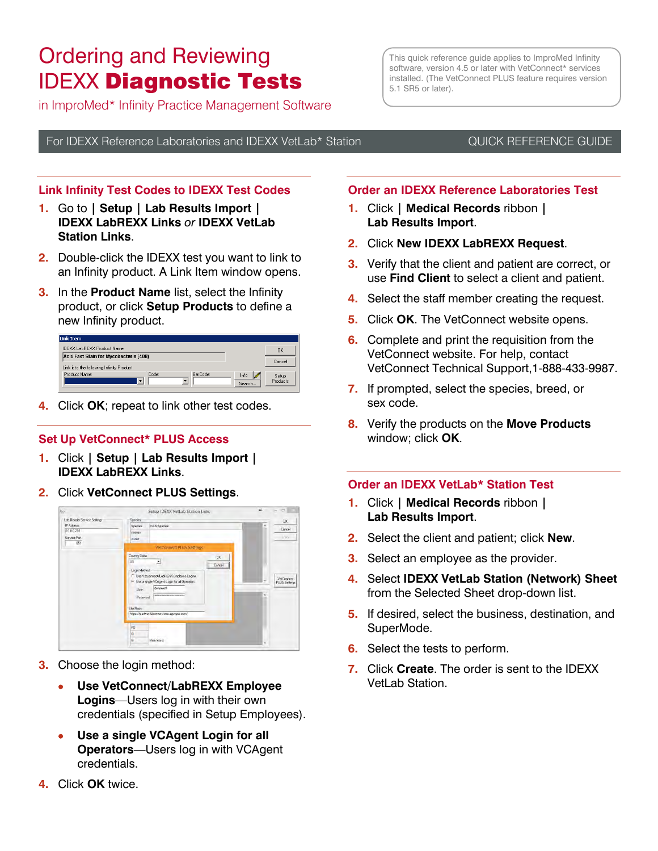# Ordering and Reviewing IDEXX Diagnostic Tests

in ImproMed\* Infinity Practice Management Software

This quick reference guide applies to ImproMed Infinity software, version 4.5 or later with VetConnect\* services installed. (The VetConnect PLUS feature requires version 5.1 SR5 or later).

For IDEXX Reference Laboratories and IDEXX VetLab\* Station **CUICK REFERENCE GUIDE** 

# **Link Infinity Test Codes to IDEXX Test Codes**

- **1.** Go to **| Setup | Lab Results Import | IDEXX LabREXX Links** *or* **IDEXX VetLab Station Links**.
- **2.** Double-click the IDEXX test you want to link to an Infinity product. A Link Item window opens.
- **3.** In the **Product Name** list, select the Infinity product, or click **Setup Products** to define a new Infinity product.

| Link Item                                  |       |          |                    |          |
|--------------------------------------------|-------|----------|--------------------|----------|
| IDEXX LabREXX Product Name                 |       |          |                    | OK       |
| Acid Fast Stain for Mycobacteria (408)     |       |          |                    |          |
| Link it to the following Infinity Product. |       |          |                    | Cancel   |
| Product Name:                              | Code: | BarCode: | $\sqrt{2}$<br>Info | Setup    |
|                                            |       |          | Search             | Products |

**4.** Click **OK**; repeat to link other test codes.

## **Set Up VetConnect\* PLUS Access**

- **1.** Click **| Setup | Lab Results Import | IDEXX LabREXX Links**.
- **2.** Click **VetConnect PLUS Settings**.



- **3.** Choose the login method:
	- **Use VetConnect/LabREXX Employee Logins**—Users log in with their own credentials (specified in Setup Employees).
	- **Use a single VCAgent Login for all Operators**—Users log in with VCAgent credentials.
- **4.** Click **OK** twice.

# **Order an IDEXX Reference Laboratories Test**

- **1.** Click **| Medical Records** ribbon **| Lab Results Import**.
- **2.** Click **New IDEXX LabREXX Request**.
- **3.** Verify that the client and patient are correct, or use **Find Client** to select a client and patient.
- **4.** Select the staff member creating the request.
- **5.** Click **OK**. The VetConnect website opens.
- **6.** Complete and print the requisition from the VetConnect website. For help, contact VetConnect Technical Support,1-888-433-9987.
- **7.** If prompted, select the species, breed, or sex code.
- **8.** Verify the products on the **Move Products** window; click **OK**.

#### **Order an IDEXX VetLab\* Station Test**

- **1.** Click **| Medical Records** ribbon **| Lab Results Import**.
- **2.** Select the client and patient; click **New**.
- **3.** Select an employee as the provider.
- **4.** Select **IDEXX VetLab Station (Network) Sheet** from the Selected Sheet drop-down list.
- **5.** If desired, select the business, destination, and SuperMode.
- **6.** Select the tests to perform.
- **7.** Click **Create**. The order is sent to the IDEXX VetLab Station.